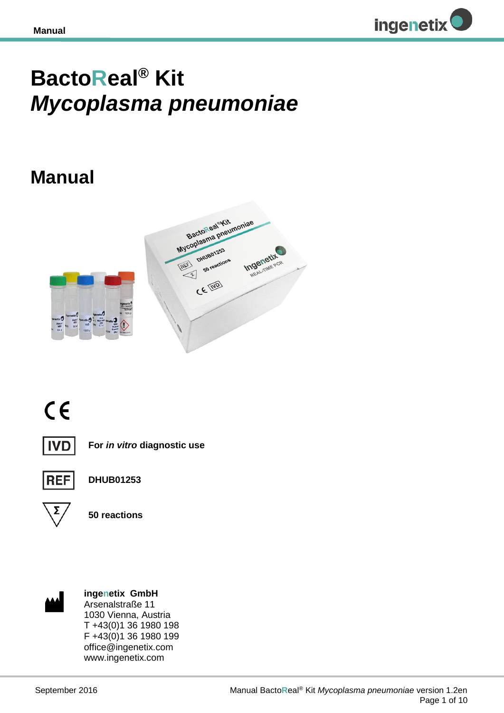

# **BactoReal® Kit**  *Mycoplasma pneumoniae*

## **Manual**







**For** *in vitro* **diagnostic use**



**DHUB01253**



**50 reactions**



**ingenetix GmbH** Arsenalstraße 11 1030 Vienna, Austria T +43(0)1 36 1980 198 F +43(0)1 36 1980 199 office@ingenetix.com www.ingenetix.com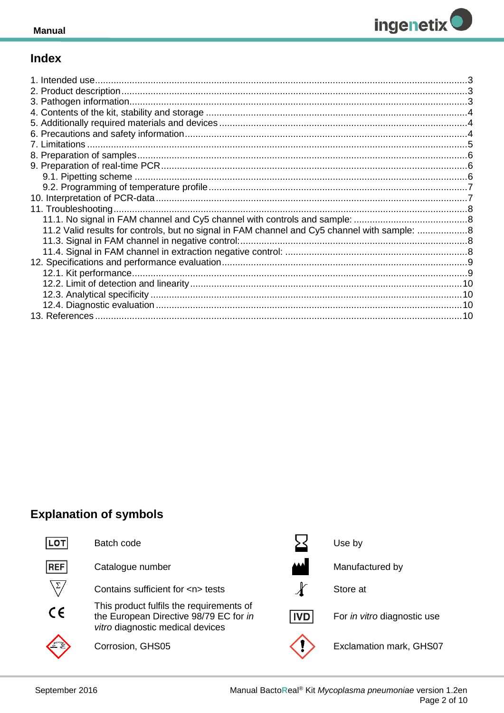

## **Index**

## **Explanation of symbols**

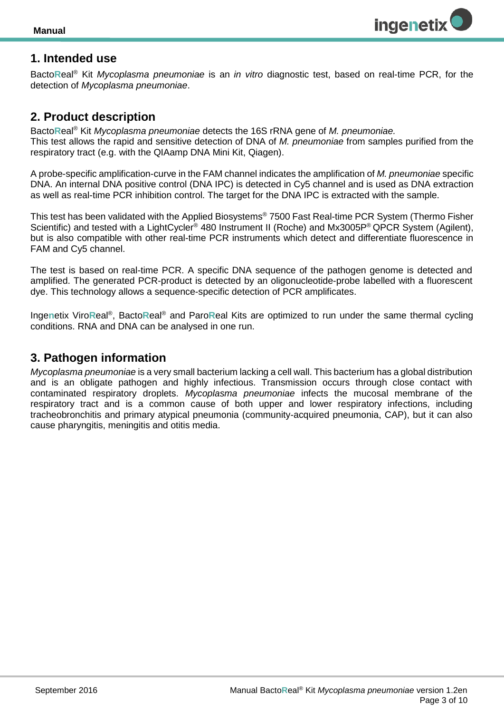

## <span id="page-2-0"></span>**1. Intended use**

Bacto**R**eal® Kit *Mycoplasma pneumoniae* is an *in vitro* diagnostic test, based on real-time PCR, for the detection of *Mycoplasma pneumoniae*.

#### <span id="page-2-1"></span>**2. Product description**

Bacto**R**eal® Kit *Mycoplasma pneumoniae* detects the 16S rRNA gene of *M. pneumoniae.* This test allows the rapid and sensitive detection of DNA of *M. pneumoniae* from samples purified from the respiratory tract (e.g. with the QIAamp DNA Mini Kit, Qiagen).

A probe-specific amplification-curve in the FAM channel indicates the amplification of *M. pneumoniae* specific DNA. An internal DNA positive control (DNA IPC) is detected in Cy5 channel and is used as DNA extraction as well as real-time PCR inhibition control. The target for the DNA IPC is extracted with the sample.

This test has been validated with the Applied Biosystems® 7500 Fast Real-time PCR System (Thermo Fisher Scientific) and tested with a LightCycler<sup>®</sup> 480 Instrument II (Roche) and Mx3005P<sup>®</sup> QPCR System (Agilent), but is also compatible with other real-time PCR instruments which detect and differentiate fluorescence in FAM and Cy5 channel.

The test is based on real-time PCR. A specific DNA sequence of the pathogen genome is detected and amplified. The generated PCR-product is detected by an oligonucleotide-probe labelled with a fluorescent dye. This technology allows a sequence-specific detection of PCR amplificates.

Ingenetix ViroReal<sup>®</sup>, BactoReal<sup>®</sup> and ParoReal Kits are optimized to run under the same thermal cycling conditions. RNA and DNA can be analysed in one run.

## <span id="page-2-2"></span>**3. Pathogen information**

*Mycoplasma pneumoniae* is a very small bacterium lacking a cell wall. This bacterium has a global distribution and is an obligate pathogen and highly infectious. Transmission occurs through close contact with contaminated respiratory droplets. *Mycoplasma pneumoniae* infects the mucosal membrane of the respiratory tract and is a common cause of both upper and lower respiratory infections, including tracheobronchitis and primary atypical pneumonia (community-acquired pneumonia, CAP), but it can also cause pharyngitis, meningitis and otitis media.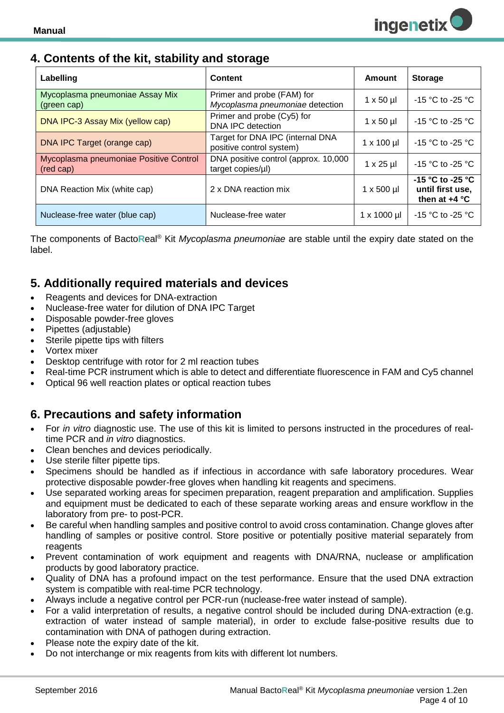## <span id="page-3-0"></span>**4. Contents of the kit, stability and storage**

| Labelling                                           | <b>Content</b>                                                | Amount             | <b>Storage</b>                                          |
|-----------------------------------------------------|---------------------------------------------------------------|--------------------|---------------------------------------------------------|
| Mycoplasma pneumoniae Assay Mix<br>(green cap)      | Primer and probe (FAM) for<br>Mycoplasma pneumoniae detection | $1 \times 50 \mu$  | $-15$ °C to $-25$ °C                                    |
| DNA IPC-3 Assay Mix (yellow cap)                    | Primer and probe (Cy5) for<br>DNA IPC detection               | $1 \times 50 \mu$  | $-15$ °C to $-25$ °C                                    |
| DNA IPC Target (orange cap)                         | Target for DNA IPC (internal DNA<br>positive control system)  | $1 \times 100$ µl  | $-15$ °C to $-25$ °C                                    |
| Mycoplasma pneumoniae Positive Control<br>(red cap) | DNA positive control (approx. 10,000<br>target copies/µl)     | $1 \times 25$ µl   | $-15$ °C to $-25$ °C                                    |
| DNA Reaction Mix (white cap)                        | 2 x DNA reaction mix                                          | $1 \times 500$ µl  | -15 °C to -25 °C<br>until first use,<br>then at $+4$ °C |
| Nuclease-free water (blue cap)                      | Nuclease-free water                                           | $1 \times 1000$ µl | $-15$ °C to -25 °C                                      |

The components of Bacto**R**eal® Kit *Mycoplasma pneumoniae* are stable until the expiry date stated on the label.

## <span id="page-3-1"></span>**5. Additionally required materials and devices**

- Reagents and devices for DNA-extraction
- Nuclease-free water for dilution of DNA IPC Target
- Disposable powder-free gloves
- Pipettes (adjustable)
- Sterile pipette tips with filters
- Vortex mixer
- Desktop centrifuge with rotor for 2 ml reaction tubes
- Real-time PCR instrument which is able to detect and differentiate fluorescence in FAM and Cy5 channel
- Optical 96 well reaction plates or optical reaction tubes

## <span id="page-3-2"></span>**6. Precautions and safety information**

- For *in vitro* diagnostic use. The use of this kit is limited to persons instructed in the procedures of realtime PCR and *in vitro* diagnostics.
- Clean benches and devices periodically.
- Use sterile filter pipette tips.
- Specimens should be handled as if infectious in accordance with safe laboratory procedures. Wear protective disposable powder-free gloves when handling kit reagents and specimens.
- Use separated working areas for specimen preparation, reagent preparation and amplification. Supplies and equipment must be dedicated to each of these separate working areas and ensure workflow in the laboratory from pre- to post-PCR.
- Be careful when handling samples and positive control to avoid cross contamination. Change gloves after handling of samples or positive control. Store positive or potentially positive material separately from reagents
- Prevent contamination of work equipment and reagents with DNA/RNA, nuclease or amplification products by good laboratory practice.
- Quality of DNA has a profound impact on the test performance. Ensure that the used DNA extraction system is compatible with real-time PCR technology.
- Always include a negative control per PCR-run (nuclease-free water instead of sample).
- For a valid interpretation of results, a negative control should be included during DNA-extraction (e.g. extraction of water instead of sample material), in order to exclude false-positive results due to contamination with DNA of pathogen during extraction.
- Please note the expiry date of the kit.
- Do not interchange or mix reagents from kits with different lot numbers.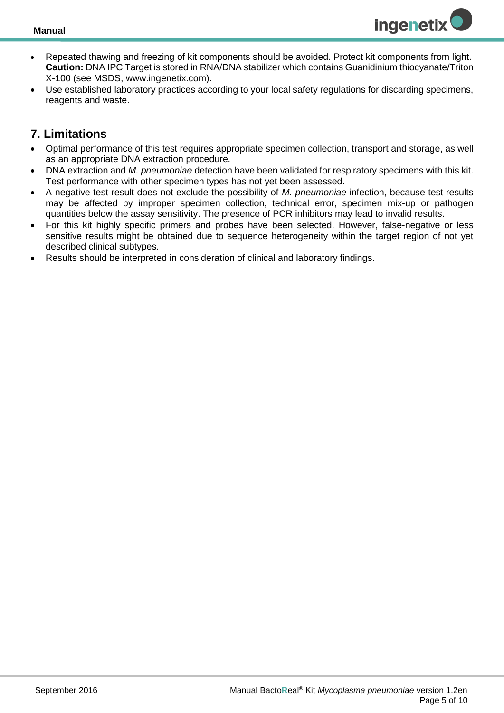

- Repeated thawing and freezing of kit components should be avoided. Protect kit components from light. **Caution:** DNA IPC Target is stored in RNA/DNA stabilizer which contains Guanidinium thiocyanate/Triton X-100 (see MSDS, www.ingenetix.com).
- Use established laboratory practices according to your local safety regulations for discarding specimens, reagents and waste.

## <span id="page-4-0"></span>**7. Limitations**

- Optimal performance of this test requires appropriate specimen collection, transport and storage, as well as an appropriate DNA extraction procedure.
- DNA extraction and *M. pneumoniae* detection have been validated for respiratory specimens with this kit. Test performance with other specimen types has not yet been assessed.
- A negative test result does not exclude the possibility of *M. pneumoniae* infection, because test results may be affected by improper specimen collection, technical error, specimen mix-up or pathogen quantities below the assay sensitivity. The presence of PCR inhibitors may lead to invalid results.
- For this kit highly specific primers and probes have been selected. However, false-negative or less sensitive results might be obtained due to sequence heterogeneity within the target region of not yet described clinical subtypes.
- Results should be interpreted in consideration of clinical and laboratory findings.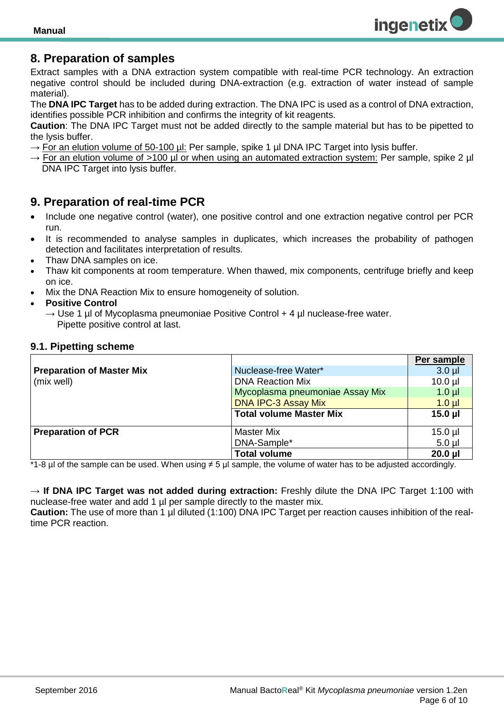

## <span id="page-5-0"></span>**8. Preparation of samples**

Extract samples with a DNA extraction system compatible with real-time PCR technology. An extraction negative control should be included during DNA-extraction (e.g. extraction of water instead of sample material).

The **DNA IPC Target** has to be added during extraction. The DNA IPC is used as a control of DNA extraction, identifies possible PCR inhibition and confirms the integrity of kit reagents.

**Caution**: The DNA IPC Target must not be added directly to the sample material but has to be pipetted to the lysis buffer.

- $\rightarrow$  For an elution volume of 50-100 µl: Per sample, spike 1 µl DNA IPC Target into lysis buffer.
- $\rightarrow$  For an elution volume of >100 µl or when using an automated extraction system: Per sample, spike 2 µl DNA IPC Target into lysis buffer.

## <span id="page-5-1"></span>**9. Preparation of real-time PCR**

- Include one negative control (water), one positive control and one extraction negative control per PCR run.
- It is recommended to analyse samples in duplicates, which increases the probability of pathogen detection and facilitates interpretation of results*.*
- Thaw DNA samples on ice.
- Thaw kit components at room temperature. When thawed, mix components, centrifuge briefly and keep on ice.
- Mix the DNA Reaction Mix to ensure homogeneity of solution.
- **Positive Control**
	- $\rightarrow$  Use 1 µ of Mycoplasma pneumoniae Positive Control + 4 µ nuclease-free water. Pipette positive control at last.

#### <span id="page-5-2"></span>**9.1. Pipetting scheme**

|                                  |                                 | Per sample   |
|----------------------------------|---------------------------------|--------------|
| <b>Preparation of Master Mix</b> | Nuclease-free Water*            | $3.0$ $\mu$  |
| (mix well)                       | <b>DNA Reaction Mix</b>         | $10.0$ $\mu$ |
|                                  | Mycoplasma pneumoniae Assay Mix | $1.0 \mu$    |
|                                  | <b>DNA IPC-3 Assay Mix</b>      | $1.0$ $\mu$  |
|                                  | <b>Total volume Master Mix</b>  | $15.0$ µl    |
|                                  |                                 |              |
| <b>Preparation of PCR</b>        | <b>Master Mix</b>               | $15.0$ µl    |
|                                  | DNA-Sample*                     | $5.0$ µl     |
|                                  | <b>Total volume</b>             | $20.0$ µl    |

\*1-8 µl of the sample can be used. When using ≠ 5 µl sample, the volume of water has to be adjusted accordingly.

→ **If DNA IPC Target was not added during extraction:** Freshly dilute the DNA IPC Target 1:100 with nuclease-free water and add 1 µl per sample directly to the master mix.

**Caution:** The use of more than 1 µl diluted (1:100) DNA IPC Target per reaction causes inhibition of the realtime PCR reaction.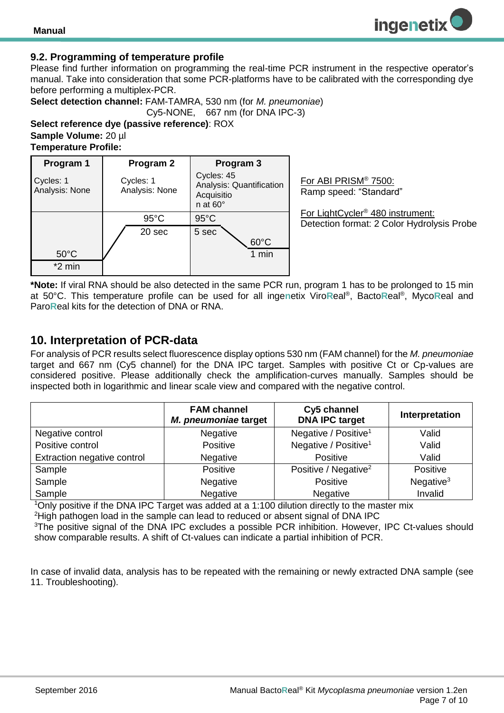

#### <span id="page-6-0"></span>**9.2. Programming of temperature profile**

Please find further information on programming the real-time PCR instrument in the respective operator's manual. Take into consideration that some PCR-platforms have to be calibrated with the corresponding dye before performing a multiplex-PCR.

**Select detection channel:** FAM-TAMRA, 530 nm (for *M. pneumoniae*)

Cy5-NONE, 667 nm (for DNA IPC-3)

**Select reference dye (passive reference)**: ROX **Sample Volume:** 20 µl **Temperature Profile:** 

| Program 1                   | Program 2                   | Program 3                                                               |  |
|-----------------------------|-----------------------------|-------------------------------------------------------------------------|--|
| Cycles: 1<br>Analysis: None | Cycles: 1<br>Analysis: None | Cycles: 45<br>Analysis: Quantification<br>Acquisitio<br>n at $60^\circ$ |  |
|                             | $95^{\circ}$ C              | $95^{\circ}$ C                                                          |  |
|                             | 20 sec                      | 5 sec                                                                   |  |
|                             |                             | $60^{\circ}$ C                                                          |  |
| $50^{\circ}$ C              |                             | 1 min                                                                   |  |
| $*2$ min                    |                             |                                                                         |  |

For ABI PRISM® 7500: Ramp speed: "Standard"

For LightCycler® 480 instrument: Detection format: 2 Color Hydrolysis Probe

**ingenetix** 

**\*Note:** If viral RNA should be also detected in the same PCR run, program 1 has to be prolonged to 15 min at 50°C. This temperature profile can be used for all inge**n**etix Viro**R**eal® , Bacto**R**eal® , Myco**R**eal and Paro**R**eal kits for the detection of DNA or RNA.

## <span id="page-6-1"></span>**10. Interpretation of PCR-data**

For analysis of PCR results select fluorescence display options 530 nm (FAM channel) for the *M. pneumoniae* target and 667 nm (Cy5 channel) for the DNA IPC target. Samples with positive Ct or Cp-values are considered positive. Please additionally check the amplification-curves manually. Samples should be inspected both in logarithmic and linear scale view and compared with the negative control.

|                             | <b>FAM channel</b><br>M. pneumoniae target | Cy5 channel<br><b>DNA IPC target</b> | Interpretation |
|-----------------------------|--------------------------------------------|--------------------------------------|----------------|
| Negative control            | Negative                                   | Negative / Positive <sup>1</sup>     | Valid          |
| Positive control            | Positive                                   | Negative / Positive <sup>1</sup>     | Valid          |
| Extraction negative control | Negative                                   | Positive                             | Valid          |
| Sample                      | Positive                                   | Positive / Negative <sup>2</sup>     | Positive       |
| Sample                      | Negative                                   | Positive                             | Negative $3$   |
| Sample                      | Negative                                   | Negative                             | Invalid        |

<sup>1</sup>Only positive if the DNA IPC Target was added at a 1:100 dilution directly to the master mix <sup>2</sup>High pathogen load in the sample can lead to reduced or absent signal of DNA IPC <sup>3</sup>The positive signal of the DNA IPC excludes a possible PCR inhibition. However, IPC Ct-values should show comparable results. A shift of Ct-values can indicate a partial inhibition of PCR.

<span id="page-6-2"></span>In case of invalid data, analysis has to be repeated with the remaining or newly extracted DNA sample (see 11. Troubleshooting).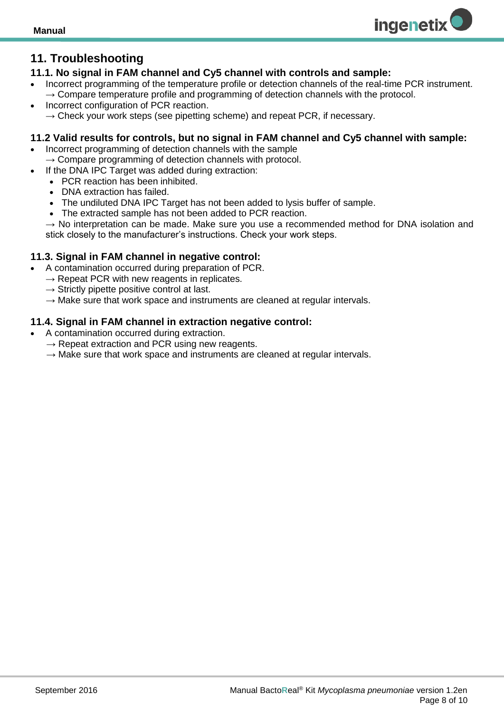## **11. Troubleshooting**

#### <span id="page-7-0"></span>**11.1. No signal in FAM channel and Cy5 channel with controls and sample:**

 Incorrect programming of the temperature profile or detection channels of the real-time PCR instrument.  $\rightarrow$  Compare temperature profile and programming of detection channels with the protocol.

**ingenetix** 

 Incorrect configuration of PCR reaction.  $\rightarrow$  Check your work steps (see pipetting scheme) and repeat PCR, if necessary.

#### <span id="page-7-1"></span>**11.2 Valid results for controls, but no signal in FAM channel and Cy5 channel with sample:**

- Incorrect programming of detection channels with the sample  $\rightarrow$  Compare programming of detection channels with protocol.
- If the DNA IPC Target was added during extraction:
	- PCR reaction has been inhibited.
	- DNA extraction has failed.
	- The undiluted DNA IPC Target has not been added to lysis buffer of sample.
	- The extracted sample has not been added to PCR reaction.

 $\rightarrow$  No interpretation can be made. Make sure you use a recommended method for DNA isolation and stick closely to the manufacturer's instructions. Check your work steps.

#### <span id="page-7-2"></span>**11.3. Signal in FAM channel in negative control:**

- A contamination occurred during preparation of PCR.
	- $\rightarrow$  Repeat PCR with new reagents in replicates.
	- $\rightarrow$  Strictly pipette positive control at last.
	- $\rightarrow$  Make sure that work space and instruments are cleaned at regular intervals.

#### <span id="page-7-3"></span>**11.4. Signal in FAM channel in extraction negative control:**

- <span id="page-7-4"></span> A contamination occurred during extraction.
	- $\rightarrow$  Repeat extraction and PCR using new reagents.
	- $\rightarrow$  Make sure that work space and instruments are cleaned at regular intervals.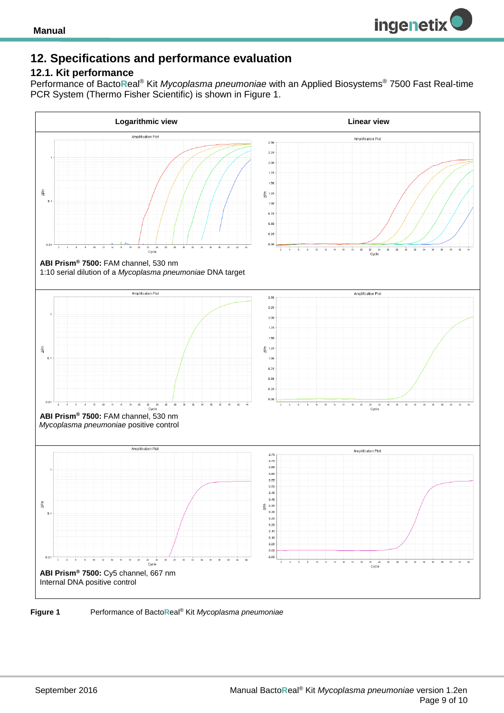

## **12. Specifications and performance evaluation**

#### <span id="page-8-0"></span>**12.1. Kit performance**

Performance of Bacto**R**eal® Kit *Mycoplasma pneumoniae* with an Applied Biosystems® 7500 Fast Real-time PCR System (Thermo Fisher Scientific) is shown in Figure 1.



#### **Figure 1** Performance of Bacto**R**eal® Kit *Mycoplasma pneumoniae*